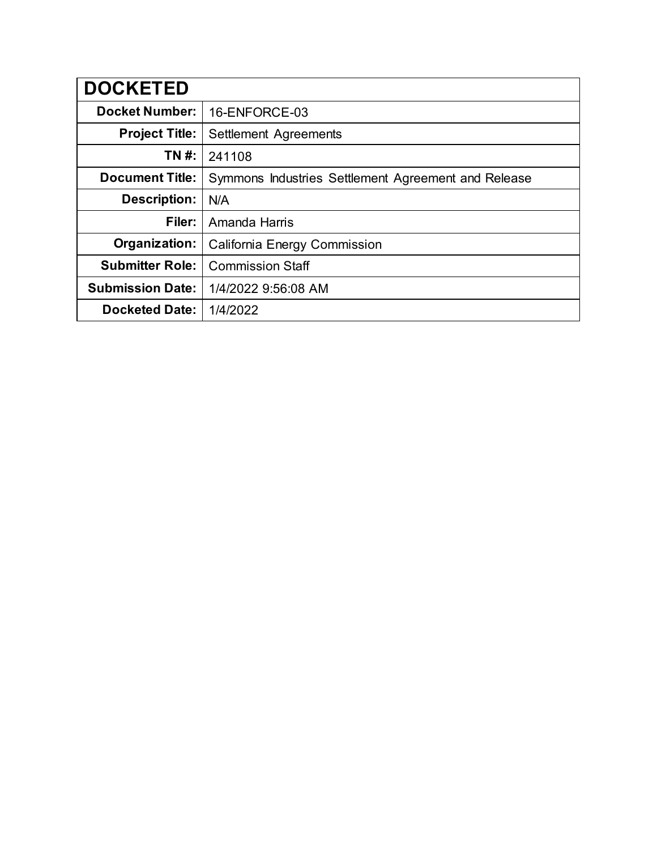| <b>DOCKETED</b>         |                                                     |  |  |  |
|-------------------------|-----------------------------------------------------|--|--|--|
| <b>Docket Number:</b>   | 16-ENFORCE-03                                       |  |  |  |
| <b>Project Title:</b>   | Settlement Agreements                               |  |  |  |
| TN #:                   | 241108                                              |  |  |  |
| <b>Document Title:</b>  | Symmons Industries Settlement Agreement and Release |  |  |  |
| <b>Description:</b>     | N/A                                                 |  |  |  |
| Filer:                  | Amanda Harris                                       |  |  |  |
| Organization:           | California Energy Commission                        |  |  |  |
| <b>Submitter Role:</b>  | <b>Commission Staff</b>                             |  |  |  |
| <b>Submission Date:</b> | 1/4/2022 9:56:08 AM                                 |  |  |  |
| <b>Docketed Date:</b>   | 1/4/2022                                            |  |  |  |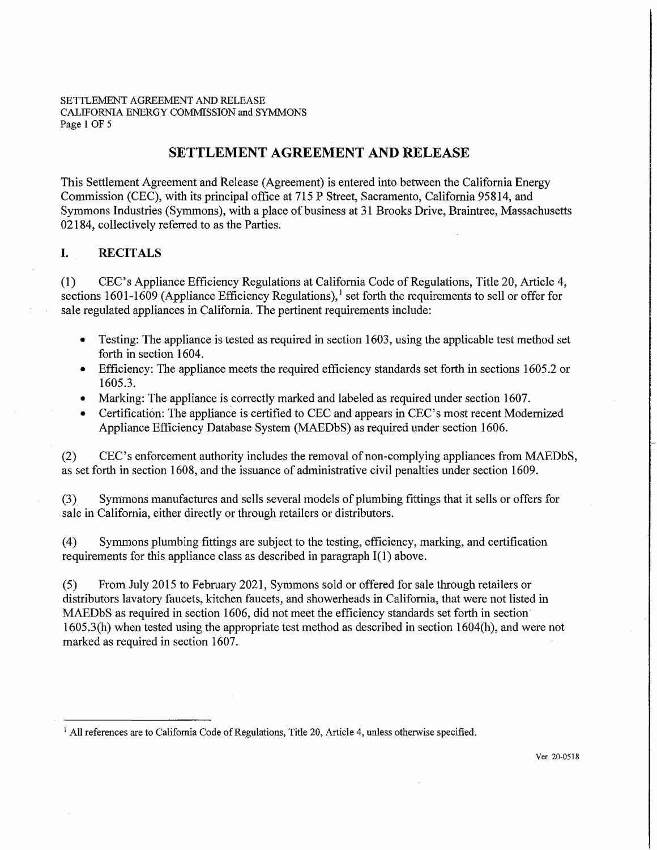#### SETTLEMENT AGREEMENT AND RELEASE CALIFORNIA ENERGY COMMISSION and SYMMONS Page 1 OF 5

# **SETTLEMENT AGREEMENT AND RELEASE**

This Settlement Agreement and Release (Agreement) is entered into between the California Energy Commission (CEC), with its principal office at 715 P Street, Sacramento, California 95814, and Symmons Industries (Symmons ), with a place of business at 31 Brooks Drive, Braintree, Massachusetts 02184, collectively referred to as the Parties.

## I. **RECITALS**

(1) CEC's Appliance Efficiency Regulations at California Code of Regulations, **Title** 20, Article 4, sections 1601-1609 (Appliance Efficiency Regulations),<sup>1</sup> set forth the requirements to sell or offer for sale regulated appliances in California. The pertinent requirements include:

- Testing: The appliance is tested as required in section 1603, using the applicable test method set forth in section 1604.
- Efficiency: The appliance meets the required efficiency standards set forth in sections 1605.2 or 1605.3.
- Marking: The appliance is correctly marked and labeled as required under section 1607.
- Certification: The appliance is certified to CEC and appears in CEC's most recent Modernized Appliance Efficiency Database System (MAEDbS) as required under section 1606.

(2) CEC's enforcement authority includes the removal of non-complying appliances from MAEDbS, as set forth in section 1608, and the issuance of administrative civil penalties under section 1609.

(3) Symmons manufactures and sells several models of plumbing fittings that it sells or offers for . sale in California, either directly or through retailers or distributors.

(4) Symmons plumbing fittings are subject to the testing, efficiency, marking, and certification requirements for this appliance class as described in paragraph 1(1) above.

(5) From July 2015 to February 2021, Symmons sold or offered for sale through retailers or distributors lavatory faucets, kitchen faucets, and showerheads in California, that were not listed in MAEDbS as required in section 1606, did not meet the efficiency standards set forth in section· 1605.3(h) when tested using the appropriate test method as described in section 1604(h), and were not marked as required in section 1607.

<sup>&</sup>lt;sup>1</sup> All references are to California Code of Regulations, Title 20, Article 4, unless otherwise specified.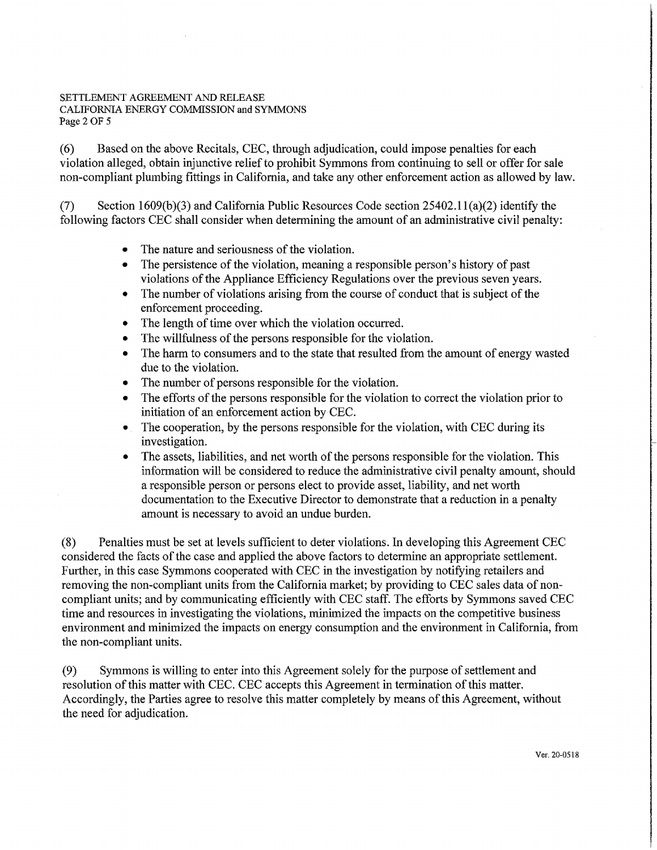### SETTLEMENT AGREEMENT AND RELEASE CALIFORNIA ENERGY COMMISSION and SYMMONS Page 2 OF 5

(6) Based on the above Recitals, CEC, through adjudication, could impose penalties for each violation alleged, obtain injunctive relief to prohibit Symmons from continuing to sell or offer for sale non-compliant plumbing fittings in California, and take any other enforcement action as allowed by law.

(7) Section 1609(b)(3) and California Public Resources Code section 25402.1 l(a)(2) identify the following factors CEC shall consider when determining the amount of an administrative civil penalty:

- The nature and seriousness of the violation.
- The persistence of the violation, meaning a responsible person's history of past violations of the Appliance Efficiency Regulations over the previous seven years.
- The number of violations arising from the course of conduct that is subject of the enforcement proceeding.
- The length of time over which the violation occurred.
- The willfulness of the persons responsible for the violation.
- The harm to consumers and to the state that resulted from the amount of energy wasted due to the violation.
- The number of persons responsible for the violation.
- The efforts of the persons responsible for the violation to correct the violation prior to initiation of an enforcement action by CEC.
- The cooperation, by the persons responsible for the violation, with CEC during its investigation.
- The assets, liabilities, and net worth of the persons responsible for the violation. This information will be considered to reduce the administrative civil penalty amount, should a responsible person or persons elect to provide asset, liability, and net worth documentation to the Executive Director to demonstrate that a reduction in a penalty amount is necessary to avoid an undue burden.

(8) Penalties must be set at levels sufficient to deter violations. In developing this Agreement CEC considered the facts of the case and applied the above factors to determine an appropriate settlement. Further, in this case Symmons cooperated with CEC in the investigation by notifying retailers and removing the non-compliant units from the California market; by providing to CEC sales data of noncompliant units; and by communicating efficiently with CEC staff. The efforts by Symmons saved CEC time and resources in investigating the violations, minimized the impacts on the competitive business environment and minimized the impacts on energy consumption and the environment in California, from the non-compliant units.

(9) Symmons is willing to enter into this Agreement solely for the purpose of settlement and resolution of this matter with CEC. CEC accepts this Agreement in termination of this matter. Accordingly, the Parties agree to resolve this matter completely by means of this Agreement, without the need for adjudication.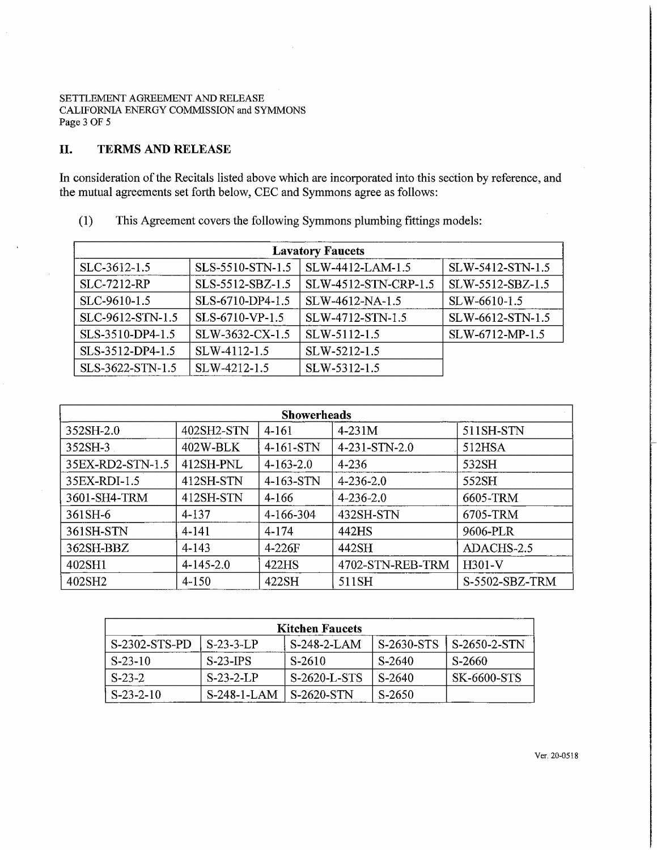SETTLEMENT AGREEMENT AND RELEASE CALIFORNIA ENERGY COMMISSION and SYMMONS Page 3 OF 5

# II. **TERMS AND RELEASE**

In consideration of the Recitals listed above which are incorporated into this section by reference, and the mutual agreements set forth below, CEC and Symmons agree as follows:

(1) This Agreement covers the following Symmons plumbing fittings models:

| <b>Lavatory Faucets</b> |                  |                      |                  |  |  |  |  |
|-------------------------|------------------|----------------------|------------------|--|--|--|--|
| SLC-3612-1.5            | SLS-5510-STN-1.5 | SLW-4412-LAM-1.5     | SLW-5412-STN-1.5 |  |  |  |  |
| <b>SLC-7212-RP</b>      | SLS-5512-SBZ-1.5 | SLW-4512-STN-CRP-1.5 | SLW-5512-SBZ-1.5 |  |  |  |  |
| SLC-9610-1.5            | SLS-6710-DP4-1.5 | SLW-4612-NA-1.5      | SLW-6610-1.5     |  |  |  |  |
| SLC-9612-STN-1.5        | SLS-6710-VP-1.5  | SLW-4712-STN-1.5     | SLW-6612-STN-1.5 |  |  |  |  |
| SLS-3510-DP4-1.5        | SLW-3632-CX-1.5  | SLW-5112-1.5         | SLW-6712-MP-1.5  |  |  |  |  |
| SLS-3512-DP4-1.5        | SLW-4112-1.5     | SLW-5212-1.5         |                  |  |  |  |  |
| SLS-3622-STN-1.5        | SLW-4212-1.5     | SLW-5312-1.5         |                  |  |  |  |  |

| <b>Showerheads</b> |                 |             |                  |                |  |  |  |
|--------------------|-----------------|-------------|------------------|----------------|--|--|--|
| 352SH-2.0          | 402SH2-STN      | 4-161       | $4-231M$         | 511SH-STN      |  |  |  |
| 352SH-3            | 402W-BLK        | 4-161-STN   | 4-231-STN-2.0    | 512HSA         |  |  |  |
| 35EX-RD2-STN-1.5   | 412SH-PNL       | $4-163-2.0$ | 4-236            | 532SH          |  |  |  |
| 35EX-RDI-1.5       | 412SH-STN       | 4-163-STN   | $4 - 236 - 2.0$  | 552SH          |  |  |  |
| 3601-SH4-TRM       | 412SH-STN       | $4 - 166$   | $4 - 236 - 2.0$  | 6605-TRM       |  |  |  |
| 361SH-6            | $4 - 137$       | 4-166-304   | 432SH-STN        | 6705-TRM       |  |  |  |
| 361SH-STN          | 4-141           | 4-174       | 442HS            | 9606-PLR       |  |  |  |
| 362SH-BBZ          | $4 - 143$       | $4-226F$    | 442SH            | ADACHS-2.5     |  |  |  |
| 402SH1             | $4 - 145 - 2.0$ | 422HS       | 4702-STN-REB-TRM | H301-V         |  |  |  |
| 402SH <sub>2</sub> | $4 - 150$       | 422SH       | 511SH            | S-5502-SBZ-TRM |  |  |  |

| <b>Kitchen Faucets</b> |              |                |            |              |  |  |  |  |  |
|------------------------|--------------|----------------|------------|--------------|--|--|--|--|--|
| S-2302-STS-PD          | $S-23-3$ IP  | $S-248-2-I$ AM | S-2630-STS | S-2650-2-STN |  |  |  |  |  |
| S-23-10                | S-23-JPS     | S-2610         | S-2640     | S-2660       |  |  |  |  |  |
| $S-23-2$               | $S-23-2-1$ P | S-2620-L-STS   | S-2640     | SK-6600-STS  |  |  |  |  |  |
| $S-23-2-10$            | S-248-1-LAM  | S-2620-STN     | S-2650     |              |  |  |  |  |  |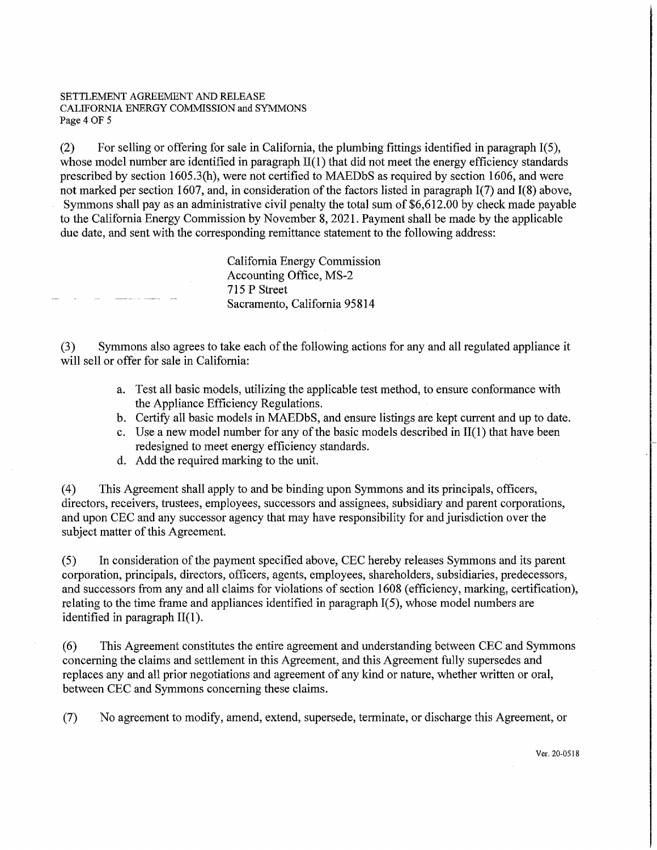#### SETTLEMENT AGREEMENT AND RELEASE CALIFORNIA ENERGY COMMISSION and SYMMONS Page4 OF 5

(2) For selling or offering for sale in California, the plumbing fittings identified in paragraph 1(5), whose model number are identified in paragraph  $II(1)$  that did not meet the energy efficiency standards prescribed by section 1605.3(h), were not certified to MAEDbS as required by section 1606, and were not marked per section 1607, and, in consideration of the factors listed in paragraph 1(7) and 1(8) above, Symmons shall pay as an administrative civil penalty the total sum of \$6,612.00 by check made payable to the California Energy Commission by November 8, 2021. Payment shall be made by the applicable due date, and sent with the corresponding remittance statement to the following address:

> California Energy Commission Accounting Office, MS-2 715 P Street Sacramento, California 95814

(3) Symmons also agrees to take each of the following actions for any and all regulated appliance it will sell or offer for sale in California:

- a. Test all basic models, utilizing the applicable test method, to ensure confonnance with the Appliance Efficiency Regulations.
- b. Certify all basic models in MAEDbS, and ensure listings are kept current and up to date.
- c. Use a new model number for any of the basic models described in  $II(1)$  that have been redesigned to meet energy efficiency standards.
- d. Add the required marking to the unit.

( 4) This Agreement shall apply to and be binding upon Symmons and its principals, officers, directors, receivers, trustees, employees, successors and assignees, subsidiary and parent corporations, and upon CEC and any successor agency that may have responsibility for and jurisdiction over the subject matter of this Agreement.

(5) In consideration of the payment specified above, CEC hereby releases Symmons and its parent corporation, principals, directors, officers, agents, employees, shareholders, subsidiaries, predecessors, and successors from any and all claims for violations of section 1608 (efficiency, marking, certification), relating to the time frame and appliances identified in paragraph 1(5), whose model numbers are identified in paragraph 11(1).

(6) This Agreement constitutes the entire agreement and understanding between CBC and Symmons concerning the claims and settlement in this Agreement, and this Agreement fully supersedes and replaces any and all prior negotiations and agreement of any kind or nature, whether written or oral, between CEC and Symmons concerning these claims.

(7) No agreement to modify, amend, extend, supersede, terminate, or discharge this Agreement, or